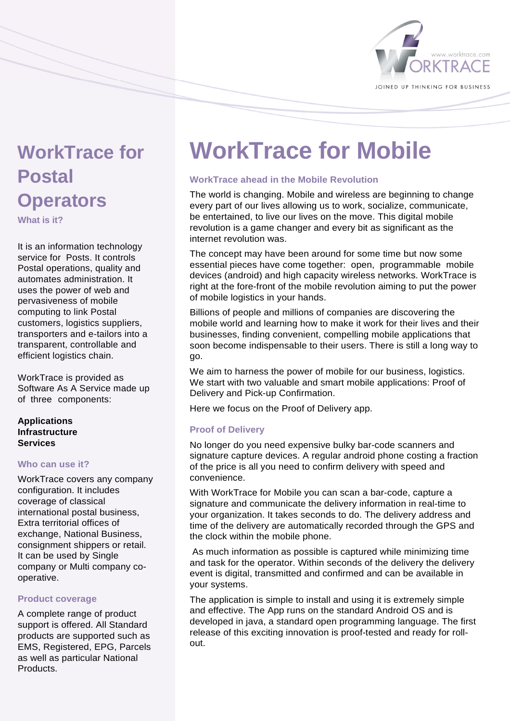

# **WorkTrace for Postal Operators**

**What is it?** 

It is an information technology service for Posts. It controls Postal operations, quality and automates administration. It uses the power of web and pervasiveness of mobile computing to link Postal customers, logistics suppliers, transporters and e-tailors into a transparent, controllable and efficient logistics chain.

WorkTrace is provided as Software As A Service made up of three components:

## **Applications Infrastructure Services**

## **Who can use it?**

WorkTrace covers any company configuration. It includes coverage of classical international postal business, Extra territorial offices of exchange, National Business, consignment shippers or retail. It can be used by Single company or Multi company cooperative.

## **Product coverage**

A complete range of product support is offered. All Standard products are supported such as EMS, Registered, EPG, Parcels as well as particular National **Products** 

# **WorkTrace for Mobile**

# **WorkTrace ahead in the Mobile Revolution**

The world is changing. Mobile and wireless are beginning to change every part of our lives allowing us to work, socialize, communicate, be entertained, to live our lives on the move. This digital mobile revolution is a game changer and every bit as significant as the internet revolution was.

The concept may have been around for some time but now some essential pieces have come together: open, programmable mobile devices (android) and high capacity wireless networks. WorkTrace is right at the fore-front of the mobile revolution aiming to put the power of mobile logistics in your hands.

Billions of people and millions of companies are discovering the mobile world and learning how to make it work for their lives and their businesses, finding convenient, compelling mobile applications that soon become indispensable to their users. There is still a long way to go.

We aim to harness the power of mobile for our business, logistics. We start with two valuable and smart mobile applications: Proof of Delivery and Pick-up Confirmation.

Here we focus on the Proof of Delivery app.

# **Proof of Delivery**

No longer do you need expensive bulky bar-code scanners and signature capture devices. A regular android phone costing a fraction of the price is all you need to confirm delivery with speed and convenience.

With WorkTrace for Mobile you can scan a bar-code, capture a signature and communicate the delivery information in real-time to your organization. It takes seconds to do. The delivery address and time of the delivery are automatically recorded through the GPS and the clock within the mobile phone.

 As much information as possible is captured while minimizing time and task for the operator. Within seconds of the delivery the delivery event is digital, transmitted and confirmed and can be available in your systems.

The application is simple to install and using it is extremely simple and effective. The App runs on the standard Android OS and is developed in java, a standard open programming language. The first release of this exciting innovation is proof-tested and ready for rollout.